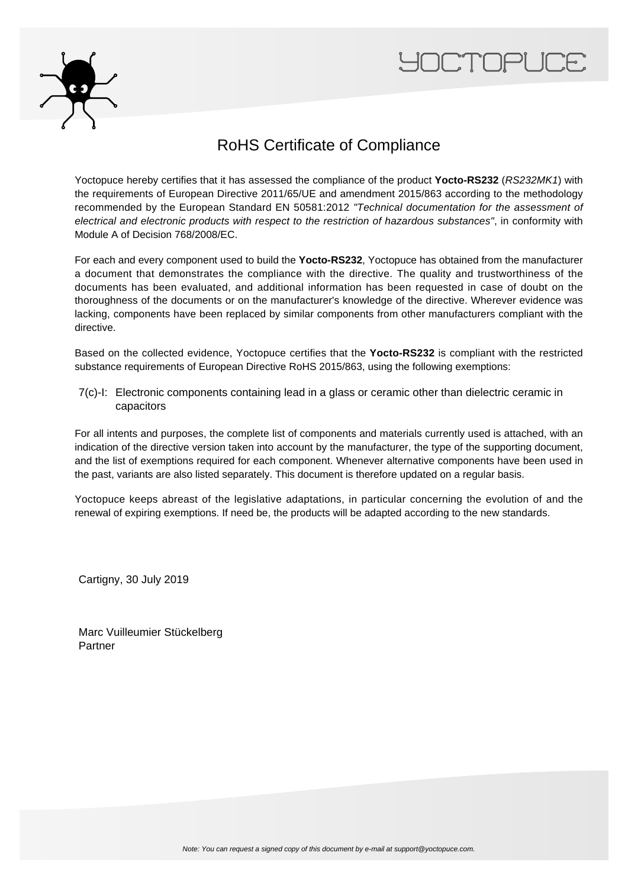



### RoHS Certificate of Compliance

Yoctopuce hereby certifies that it has assessed the compliance of the product **Yocto-RS232** (RS232MK1) with the requirements of European Directive 2011/65/UE and amendment 2015/863 according to the methodology recommended by the European Standard EN 50581:2012 "Technical documentation for the assessment of electrical and electronic products with respect to the restriction of hazardous substances", in conformity with Module A of Decision 768/2008/EC.

For each and every component used to build the **Yocto-RS232**, Yoctopuce has obtained from the manufacturer a document that demonstrates the compliance with the directive. The quality and trustworthiness of the documents has been evaluated, and additional information has been requested in case of doubt on the thoroughness of the documents or on the manufacturer's knowledge of the directive. Wherever evidence was lacking, components have been replaced by similar components from other manufacturers compliant with the directive.

Based on the collected evidence, Yoctopuce certifies that the **Yocto-RS232** is compliant with the restricted substance requirements of European Directive RoHS 2015/863, using the following exemptions:

7(c)-I: Electronic components containing lead in a glass or ceramic other than dielectric ceramic in capacitors

For all intents and purposes, the complete list of components and materials currently used is attached, with an indication of the directive version taken into account by the manufacturer, the type of the supporting document, and the list of exemptions required for each component. Whenever alternative components have been used in the past, variants are also listed separately. This document is therefore updated on a regular basis.

Yoctopuce keeps abreast of the legislative adaptations, in particular concerning the evolution of and the renewal of expiring exemptions. If need be, the products will be adapted according to the new standards.

Cartigny, 30 July 2019

Marc Vuilleumier Stückelberg Partner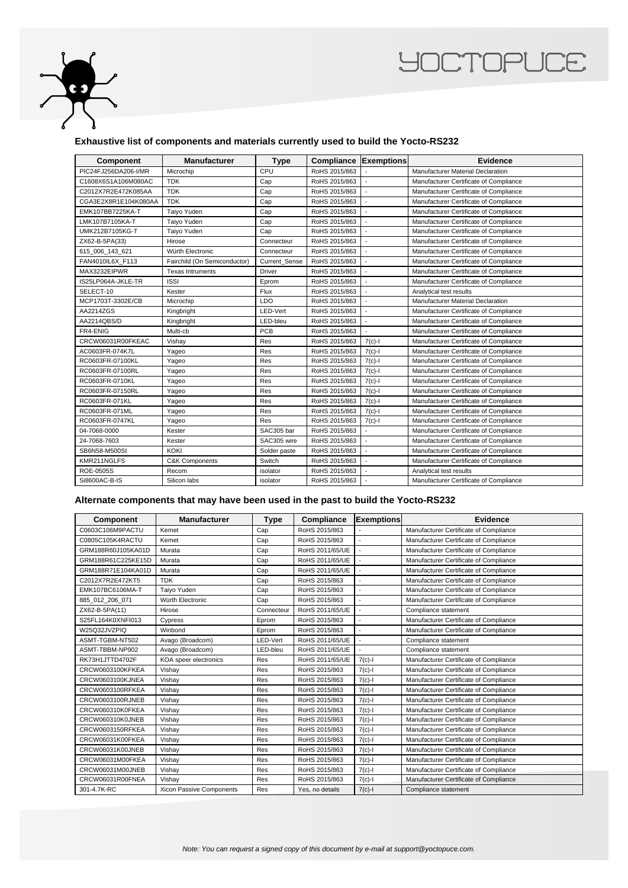

# **YOCTOPUCE**

#### **Exhaustive list of components and materials currently used to build the Yocto-RS232**

| Component            | <b>Manufacturer</b>          | <b>Type</b>   | <b>Compliance Exemptions</b> |           | <b>Evidence</b>                          |
|----------------------|------------------------------|---------------|------------------------------|-----------|------------------------------------------|
| PIC24FJ256DA206-I/MR | Microchip                    | CPU           | RoHS 2015/863                |           | <b>Manufacturer Material Declaration</b> |
| C1608X6S1A106M080AC  | <b>TDK</b>                   | Cap           | RoHS 2015/863                |           | Manufacturer Certificate of Compliance   |
| C2012X7R2E472K085AA  | <b>TDK</b>                   | Cap           | RoHS 2015/863                |           | Manufacturer Certificate of Compliance   |
| CGA3E2X8R1E104K080AA | <b>TDK</b>                   | Cap           | RoHS 2015/863                |           | Manufacturer Certificate of Compliance   |
| EMK107BB7225KA-T     | Taiyo Yuden                  | Cap           | RoHS 2015/863                |           | Manufacturer Certificate of Compliance   |
| LMK107B7105KA-T      | Taiyo Yuden                  | Cap           | RoHS 2015/863                |           | Manufacturer Certificate of Compliance   |
| UMK212B7105KG-T      | Taiyo Yuden                  | Cap           | RoHS 2015/863                |           | Manufacturer Certificate of Compliance   |
| ZX62-B-5PA(33)       | Hirose                       | Connecteur    | RoHS 2015/863                |           | Manufacturer Certificate of Compliance   |
| 615_006_143_621      | Würth Electronic             | Connecteur    | RoHS 2015/863                |           | Manufacturer Certificate of Compliance   |
| FAN4010IL6X F113     | Fairchild (On Semiconductor) | Current Sense | RoHS 2015/863                |           | Manufacturer Certificate of Compliance   |
| MAX3232EIPWR         | <b>Texas Intruments</b>      | <b>Driver</b> | RoHS 2015/863                |           | Manufacturer Certificate of Compliance   |
| IS25LP064A-JKLE-TR   | <b>ISSI</b>                  | Eprom         | RoHS 2015/863                |           | Manufacturer Certificate of Compliance   |
| SELECT-10            | Kester                       | Flux          | RoHS 2015/863                |           | Analytical test results                  |
| MCP1703T-3302E/CB    | Microchip                    | LDO           | RoHS 2015/863                |           | <b>Manufacturer Material Declaration</b> |
| AA2214ZGS            | Kingbright                   | LED-Vert      | RoHS 2015/863                |           | Manufacturer Certificate of Compliance   |
| AA2214QBS/D          | Kingbright                   | LED-bleu      | RoHS 2015/863                |           | Manufacturer Certificate of Compliance   |
| FR4-ENIG             | Multi-cb                     | PCB           | RoHS 2015/863                |           | Manufacturer Certificate of Compliance   |
| CRCW06031R00FKEAC    | Vishay                       | Res           | RoHS 2015/863                | $7(c)-1$  | Manufacturer Certificate of Compliance   |
| AC0603FR-074K7L      | Yageo                        | Res           | RoHS 2015/863                | $7(c)$ -l | Manufacturer Certificate of Compliance   |
| RC0603FR-07100KL     | Yageo                        | Res           | RoHS 2015/863                | $7(c)-1$  | Manufacturer Certificate of Compliance   |
| RC0603FR-07100RL     | Yageo                        | Res           | RoHS 2015/863                | $7(c)$ -l | Manufacturer Certificate of Compliance   |
| RC0603FR-0710KL      | Yageo                        | Res           | RoHS 2015/863                | $7(c)-1$  | Manufacturer Certificate of Compliance   |
| RC0603FR-07150RL     | Yageo                        | Res           | RoHS 2015/863                | $7(c)$ -l | Manufacturer Certificate of Compliance   |
| RC0603FR-071KL       | Yageo                        | Res           | RoHS 2015/863                | $7(c)-1$  | Manufacturer Certificate of Compliance   |
| RC0603FR-071ML       | Yageo                        | Res           | RoHS 2015/863                | $7(c)-1$  | Manufacturer Certificate of Compliance   |
| RC0603FR-0747KL      | Yageo                        | Res           | RoHS 2015/863                | $7(c)-1$  | Manufacturer Certificate of Compliance   |
| 04-7068-0000         | Kester                       | SAC305 bar    | RoHS 2015/863                |           | Manufacturer Certificate of Compliance   |
| 24-7068-7603         | Kester                       | SAC305 wire   | RoHS 2015/863                |           | Manufacturer Certificate of Compliance   |
| SB6N58-M500SI        | KOKI                         | Solder paste  | RoHS 2015/863                |           | Manufacturer Certificate of Compliance   |
| KMR211NGLFS          | <b>C&amp;K Components</b>    | Switch        | RoHS 2015/863                |           | Manufacturer Certificate of Compliance   |
| <b>ROE-0505S</b>     | Recom                        | isolator      | RoHS 2015/863                |           | Analytical test results                  |
| Si8600AC-B-IS        | Silicon labs                 | isolator      | RoHS 2015/863                |           | Manufacturer Certificate of Compliance   |

#### **Alternate components that may have been used in the past to build the Yocto-RS232**

| Component          | <b>Manufacturer</b>      | <b>Type</b> | Compliance      | <b>Exemptions</b> | <b>Evidence</b>                        |
|--------------------|--------------------------|-------------|-----------------|-------------------|----------------------------------------|
| C0603C106M9PACTU   | Kemet                    | Cap         | RoHS 2015/863   |                   | Manufacturer Certificate of Compliance |
| C0805C105K4RACTU   | Kemet                    | Cap         | RoHS 2015/863   |                   | Manufacturer Certificate of Compliance |
| GRM188R60J105KA01D | Murata                   | Cap         | RoHS 2011/65/UE |                   | Manufacturer Certificate of Compliance |
| GRM188R61C225KE15D | Murata                   | Cap         | RoHS 2011/65/UE |                   | Manufacturer Certificate of Compliance |
| GRM188R71E104KA01D | Murata                   | Cap         | RoHS 2011/65/UE |                   | Manufacturer Certificate of Compliance |
| C2012X7R2E472KT5   | <b>TDK</b>               | Cap         | RoHS 2015/863   |                   | Manufacturer Certificate of Compliance |
| EMK107BC6106MA-T   | Taiyo Yuden              | Cap         | RoHS 2015/863   | ÷                 | Manufacturer Certificate of Compliance |
| 885_012_206_071    | Würth Electronic         | Cap         | RoHS 2015/863   |                   | Manufacturer Certificate of Compliance |
| ZX62-B-5PA(11)     | Hirose                   | Connecteur  | RoHS 2011/65/UE |                   | Compliance statement                   |
| S25FL164K0XNFI013  | Cypress                  | Eprom       | RoHS 2015/863   | ٠                 | Manufacturer Certificate of Compliance |
| W25Q32JVZPIQ       | Winbond                  | Eprom       | RoHS 2015/863   |                   | Manufacturer Certificate of Compliance |
| ASMT-TGBM-NT502    | Avago (Broadcom)         | LED-Vert    | RoHS 2011/65/UE |                   | Compliance statement                   |
| ASMT-TBBM-NP902    | Avago (Broadcom)         | LED-bleu    | RoHS 2011/65/UE |                   | Compliance statement                   |
| RK73H1JTTD4702F    | KOA speer electronics    | Res         | RoHS 2011/65/UE | $7(c) -$          | Manufacturer Certificate of Compliance |
| CRCW0603100KFKEA   | Vishay                   | Res         | RoHS 2015/863   | $7(c)-1$          | Manufacturer Certificate of Compliance |
| CRCW0603100KJNEA   | Vishay                   | Res         | RoHS 2015/863   | $7(c) -$          | Manufacturer Certificate of Compliance |
| CRCW0603100RFKEA   | Vishay                   | Res         | RoHS 2015/863   | $7(c) -$          | Manufacturer Certificate of Compliance |
| CRCW0603100RJNEB   | Vishay                   | Res         | RoHS 2015/863   | $7(c)-1$          | Manufacturer Certificate of Compliance |
| CRCW060310K0FKEA   | Vishay                   | Res         | RoHS 2015/863   | $7(c) -$          | Manufacturer Certificate of Compliance |
| CRCW060310K0JNEB   | Vishay                   | Res         | RoHS 2015/863   | $7(c)-1$          | Manufacturer Certificate of Compliance |
| CRCW0603150RFKEA   | Vishay                   | Res         | RoHS 2015/863   | $7(c) -$          | Manufacturer Certificate of Compliance |
| CRCW06031K00FKEA   | Vishay                   | Res         | RoHS 2015/863   | $7(c) -$          | Manufacturer Certificate of Compliance |
| CRCW06031K00JNEB   | Vishay                   | Res         | RoHS 2015/863   | $7(c)-1$          | Manufacturer Certificate of Compliance |
| CRCW06031M00FKEA   | Vishay                   | Res         | RoHS 2015/863   | $7(c)-1$          | Manufacturer Certificate of Compliance |
| CRCW06031M00JNEB   | Vishay                   | Res         | RoHS 2015/863   | $7(c) -$          | Manufacturer Certificate of Compliance |
| CRCW06031R00FNEA   | Vishay                   | Res         | RoHS 2015/863   | $7(c)-1$          | Manufacturer Certificate of Compliance |
| 301-4.7K-RC        | Xicon Passive Components | Res         | Yes, no details | $7(c)-1$          | Compliance statement                   |